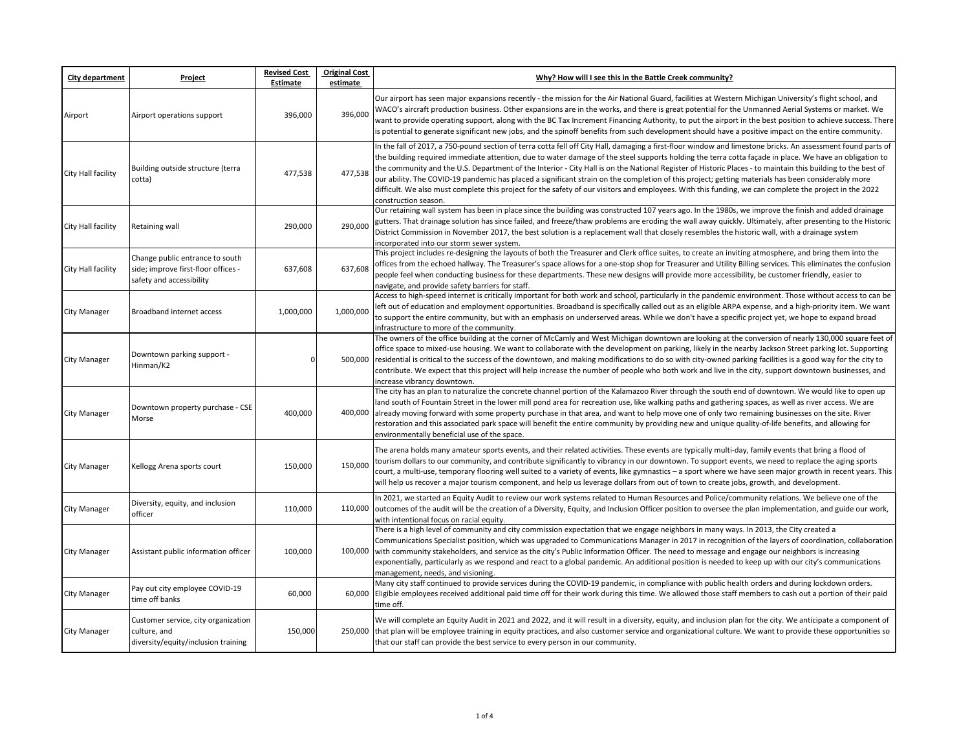| City department     | Project                                                                                            | <b>Revised Cost</b><br>Estimate | <b>Original Cost</b><br>estimate | Why? How will I see this in the Battle Creek community?                                                                                                                                                                                                                                                                                                                                                                                                                                                                                                                                                                                                                                                                                                                                                                       |
|---------------------|----------------------------------------------------------------------------------------------------|---------------------------------|----------------------------------|-------------------------------------------------------------------------------------------------------------------------------------------------------------------------------------------------------------------------------------------------------------------------------------------------------------------------------------------------------------------------------------------------------------------------------------------------------------------------------------------------------------------------------------------------------------------------------------------------------------------------------------------------------------------------------------------------------------------------------------------------------------------------------------------------------------------------------|
| Airport             | Airport operations support                                                                         | 396,000                         | 396,000                          | Our airport has seen major expansions recently - the mission for the Air National Guard, facilities at Western Michigan University's flight school, and<br>WACO's aircraft production business. Other expansions are in the works, and there is great potential for the Unmanned Aerial Systems or market. We<br>want to provide operating support, along with the BC Tax Increment Financing Authority, to put the airport in the best position to achieve success. There<br>is potential to generate significant new jobs, and the spinoff benefits from such development should have a positive impact on the entire community.                                                                                                                                                                                            |
| City Hall facility  | Building outside structure (terra<br>cotta)                                                        | 477,538                         | 477,538                          | In the fall of 2017, a 750-pound section of terra cotta fell off City Hall, damaging a first-floor window and limestone bricks. An assessment found parts of<br>the building required immediate attention, due to water damage of the steel supports holding the terra cotta façade in place. We have an obligation to<br>the community and the U.S. Department of the Interior - City Hall is on the National Register of Historic Places - to maintain this building to the best of<br>our ability. The COVID-19 pandemic has placed a significant strain on the completion of this project; getting materials has been considerably more<br>difficult. We also must complete this project for the safety of our visitors and employees. With this funding, we can complete the project in the 2022<br>construction season. |
| City Hall facility  | Retaining wall                                                                                     | 290,000                         | 290,000                          | Our retaining wall system has been in place since the building was constructed 107 years ago. In the 1980s, we improve the finish and added drainage<br>gutters. That drainage solution has since failed, and freeze/thaw problems are eroding the wall away quickly. Ultimately, after presenting to the Historic<br>District Commission in November 2017, the best solution is a replacement wall that closely resembles the historic wall, with a drainage system<br>incorporated into our storm sewer system.                                                                                                                                                                                                                                                                                                             |
| City Hall facility  | Change public entrance to south<br>side; improve first-floor offices -<br>safety and accessibility | 637,608                         | 637.608                          | This project includes re-designing the layouts of both the Treasurer and Clerk office suites, to create an inviting atmosphere, and bring them into the<br>offices from the echoed hallway. The Treasurer's space allows for a one-stop shop for Treasurer and Utility Billing services. This eliminates the confusion<br>people feel when conducting business for these departments. These new designs will provide more accessibility, be customer friendly, easier to<br>navigate, and provide safety barriers for staff.                                                                                                                                                                                                                                                                                                  |
| <b>City Manager</b> | Broadband internet access                                                                          | 1,000,000                       | 1,000,000                        | Access to high-speed internet is critically important for both work and school, particularly in the pandemic environment. Those without access to can be<br>left out of education and employment opportunities. Broadband is specifically called out as an eligible ARPA expense, and a high-priority item. We want<br>to support the entire community, but with an emphasis on underserved areas. While we don't have a specific project yet, we hope to expand broad<br>infrastructure to more of the community.                                                                                                                                                                                                                                                                                                            |
| <b>City Manager</b> | Downtown parking support -<br>Hinman/K2                                                            | $\Omega$                        |                                  | The owners of the office building at the corner of McCamly and West Michigan downtown are looking at the conversion of nearly 130,000 square feet of<br>office space to mixed-use housing. We want to collaborate with the development on parking, likely in the nearby Jackson Street parking lot. Supporting<br>500,000 residential is critical to the success of the downtown, and making modifications to do so with city-owned parking facilities is a good way for the city to<br>contribute. We expect that this project will help increase the number of people who both work and live in the city, support downtown businesses, and<br>increase vibrancy downtown.                                                                                                                                                   |
| <b>City Manager</b> | Downtown property purchase - CSE<br>Morse                                                          | 400,000                         |                                  | The city has an plan to naturalize the concrete channel portion of the Kalamazoo River through the south end of downtown. We would like to open up<br>land south of Fountain Street in the lower mill pond area for recreation use, like walking paths and gathering spaces, as well as river access. We are<br>400,000 already moving forward with some property purchase in that area, and want to help move one of only two remaining businesses on the site. River<br>restoration and this associated park space will benefit the entire community by providing new and unique quality-of-life benefits, and allowing for<br>environmentally beneficial use of the space.                                                                                                                                                 |
| <b>City Manager</b> | Kellogg Arena sports court                                                                         | 150,000                         | 150,000                          | The arena holds many amateur sports events, and their related activities. These events are typically multi-day, family events that bring a flood of<br>tourism dollars to our community, and contribute significantly to vibrancy in our downtown. To support events, we need to replace the aging sports<br>court, a multi-use, temporary flooring well suited to a variety of events, like gymnastics – a sport where we have seen major growth in recent years. This<br>will help us recover a major tourism component, and help us leverage dollars from out of town to create jobs, growth, and development.                                                                                                                                                                                                             |
| City Manager        | Diversity, equity, and inclusion<br>officer                                                        | 110,000                         |                                  | In 2021, we started an Equity Audit to review our work systems related to Human Resources and Police/community relations. We believe one of the<br>110,000 outcomes of the audit will be the creation of a Diversity, Equity, and Inclusion Officer position to oversee the plan implementation, and guide our work,<br>with intentional focus on racial equity.                                                                                                                                                                                                                                                                                                                                                                                                                                                              |
| <b>City Manager</b> | Assistant public information officer                                                               | 100,000                         |                                  | There is a high level of community and city commission expectation that we engage neighbors in many ways. In 2013, the City created a<br>Communications Specialist position, which was upgraded to Communications Manager in 2017 in recognition of the layers of coordination, collaboration<br>100,000 with community stakeholders, and service as the city's Public Information Officer. The need to message and engage our neighbors is increasing<br>exponentially, particularly as we respond and react to a global pandemic. An additional position is needed to keep up with our city's communications<br>management, needs, and visioning.                                                                                                                                                                           |
| <b>City Manager</b> | Pay out city employee COVID-19<br>time off banks                                                   | 60,000                          |                                  | Many city staff continued to provide services during the COVID-19 pandemic, in compliance with public health orders and during lockdown orders.<br>60,000 Eligible employees received additional paid time off for their work during this time. We allowed those staff members to cash out a portion of their paid<br>time off.                                                                                                                                                                                                                                                                                                                                                                                                                                                                                               |
| <b>City Manager</b> | Customer service, city organization<br>culture, and<br>diversity/equity/inclusion training         | 150,000                         |                                  | We will complete an Equity Audit in 2021 and 2022, and it will result in a diversity, equity, and inclusion plan for the city. We anticipate a component of<br>250,000 that plan will be employee training in equity practices, and also customer service and organizational culture. We want to provide these opportunities so<br>that our staff can provide the best service to every person in our community.                                                                                                                                                                                                                                                                                                                                                                                                              |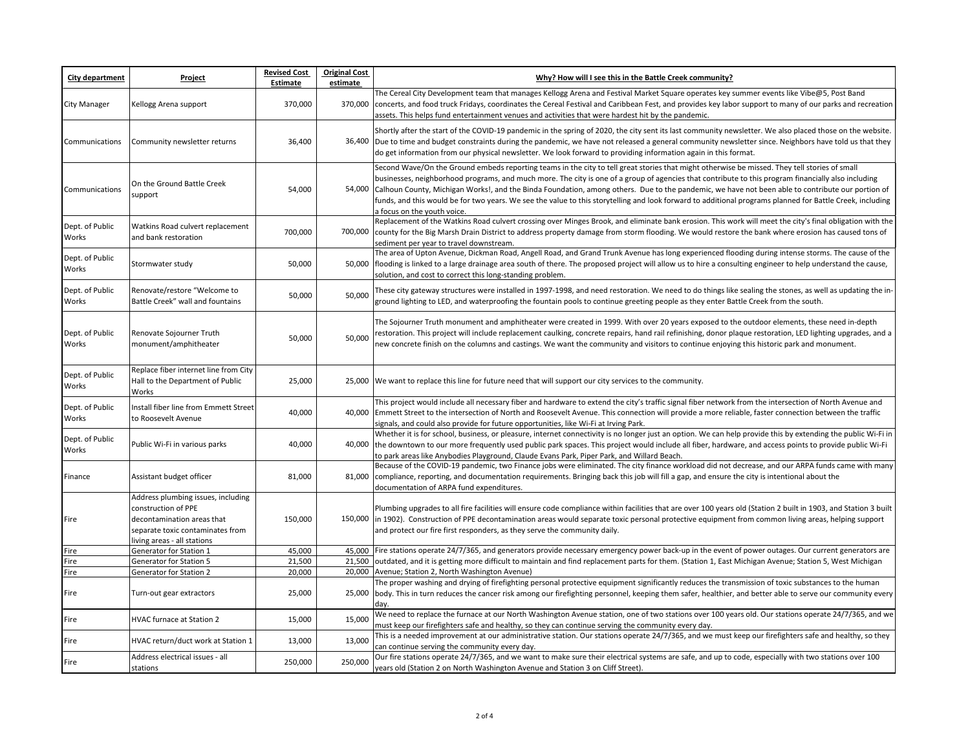| <b>City department</b>   | Project                                                                                                                                                    | <b>Revised Cost</b><br>Estimate | <b>Original Cost</b><br>estimate | Why? How will I see this in the Battle Creek community?                                                                                                                                                                                                                                                                                                                                                                                                                                                                                                                                                                                                     |
|--------------------------|------------------------------------------------------------------------------------------------------------------------------------------------------------|---------------------------------|----------------------------------|-------------------------------------------------------------------------------------------------------------------------------------------------------------------------------------------------------------------------------------------------------------------------------------------------------------------------------------------------------------------------------------------------------------------------------------------------------------------------------------------------------------------------------------------------------------------------------------------------------------------------------------------------------------|
| City Manager             | Kellogg Arena support                                                                                                                                      | 370,000                         | 370,000                          | The Cereal City Development team that manages Kellogg Arena and Festival Market Square operates key summer events like Vibe@5, Post Band<br>concerts, and food truck Fridays, coordinates the Cereal Festival and Caribbean Fest, and provides key labor support to many of our parks and recreation<br>assets. This helps fund entertainment venues and activities that were hardest hit by the pandemic.                                                                                                                                                                                                                                                  |
| Communications           | Community newsletter returns                                                                                                                               | 36,400                          |                                  | Shortly after the start of the COVID-19 pandemic in the spring of 2020, the city sent its last community newsletter. We also placed those on the website.<br>36,400 Due to time and budget constraints during the pandemic, we have not released a general community newsletter since. Neighbors have told us that they<br>do get information from our physical newsletter. We look forward to providing information again in this format.                                                                                                                                                                                                                  |
| Communications           | On the Ground Battle Creek<br>support                                                                                                                      | 54,000                          |                                  | Second Wave/On the Ground embeds reporting teams in the city to tell great stories that might otherwise be missed. They tell stories of small<br>businesses, neighborhood programs, and much more. The city is one of a group of agencies that contribute to this program financially also including<br>54,000 Calhoun County, Michigan Works!, and the Binda Foundation, among others. Due to the pandemic, we have not been able to contribute our portion of<br>funds, and this would be for two years. We see the value to this storytelling and look forward to additional programs planned for Battle Creek, including<br>a focus on the youth voice. |
| Dept. of Public<br>Works | Watkins Road culvert replacement<br>and bank restoration                                                                                                   | 700,000                         |                                  | Replacement of the Watkins Road culvert crossing over Minges Brook, and eliminate bank erosion. This work will meet the city's final obligation with the<br>700,000 county for the Big Marsh Drain District to address property damage from storm flooding. We would restore the bank where erosion has caused tons of<br>sediment per year to travel downstream.                                                                                                                                                                                                                                                                                           |
| Dept. of Public<br>Works | Stormwater study                                                                                                                                           | 50,000                          |                                  | The area of Upton Avenue, Dickman Road, Angell Road, and Grand Trunk Avenue has long experienced flooding during intense storms. The cause of the<br>50,000 fflooding is linked to a large drainage area south of there. The proposed project will allow us to hire a consulting engineer to help understand the cause,<br>solution, and cost to correct this long-standing problem.                                                                                                                                                                                                                                                                        |
| Dept. of Public<br>Works | Renovate/restore "Welcome to<br>Battle Creek" wall and fountains                                                                                           | 50,000                          | 50,000                           | These city gateway structures were installed in 1997-1998, and need restoration. We need to do things like sealing the stones, as well as updating the in-<br>ground lighting to LED, and waterproofing the fountain pools to continue greeting people as they enter Battle Creek from the south.                                                                                                                                                                                                                                                                                                                                                           |
| Dept. of Public<br>Works | Renovate Sojourner Truth<br>monument/amphitheater                                                                                                          | 50,000                          | 50,000                           | The Sojourner Truth monument and amphitheater were created in 1999. With over 20 years exposed to the outdoor elements, these need in-depth<br>restoration. This project will include replacement caulking, concrete repairs, hand rail refinishing, donor plaque restoration, LED lighting upgrades, and a<br>new concrete finish on the columns and castings. We want the community and visitors to continue enjoying this historic park and monument.                                                                                                                                                                                                    |
| Dept. of Public<br>Works | Replace fiber internet line from City<br>Hall to the Department of Public<br>Works                                                                         | 25,000                          |                                  | 25,000 We want to replace this line for future need that will support our city services to the community.                                                                                                                                                                                                                                                                                                                                                                                                                                                                                                                                                   |
| Dept. of Public<br>Works | Install fiber line from Emmett Street<br>to Roosevelt Avenue                                                                                               | 40,000                          |                                  | This project would include all necessary fiber and hardware to extend the city's traffic signal fiber network from the intersection of North Avenue and<br>40,000 Emmett Street to the intersection of North and Roosevelt Avenue. This connection will provide a more reliable, faster connection between the traffic<br>signals, and could also provide for future opportunities, like Wi-Fi at Irving Park.                                                                                                                                                                                                                                              |
| Dept. of Public<br>Works | Public Wi-Fi in various parks                                                                                                                              | 40,000                          |                                  | Whether it is for school, business, or pleasure, internet connectivity is no longer just an option. We can help provide this by extending the public Wi-Fi in<br>40,000 the downtown to our more frequently used public park spaces. This project would include all fiber, hardware, and access points to provide public Wi-Fi<br>to park areas like Anybodies Playground, Claude Evans Park, Piper Park, and Willard Beach.                                                                                                                                                                                                                                |
| Finance                  | Assistant budget officer                                                                                                                                   | 81,000                          |                                  | Because of the COVID-19 pandemic, two Finance jobs were eliminated. The city finance workload did not decrease, and our ARPA funds came with many<br>81,000 compliance, reporting, and documentation requirements. Bringing back this job will fill a gap, and ensure the city is intentional about the<br>documentation of ARPA fund expenditures.                                                                                                                                                                                                                                                                                                         |
| Fire                     | Address plumbing issues, including<br>construction of PPE<br>decontamination areas that<br>separate toxic contaminates from<br>living areas - all stations | 150,000                         |                                  | Plumbing upgrades to all fire facilities will ensure code compliance within facilities that are over 100 years old (Station 2 built in 1903, and Station 3 built<br>150,000  in 1902). Construction of PPE decontamination areas would separate toxic personal protective equipment from common living areas, helping support<br>and protect our fire first responders, as they serve the community daily.                                                                                                                                                                                                                                                  |
| Fire                     | Generator for Station 1                                                                                                                                    | 45,000                          |                                  | 45,000 Fire stations operate 24/7/365, and generators provide necessary emergency power back-up in the event of power outages. Our current generators are                                                                                                                                                                                                                                                                                                                                                                                                                                                                                                   |
| Fire                     | Generator for Station 5                                                                                                                                    | 21,500                          |                                  | 21,500 outdated, and it is getting more difficult to maintain and find replacement parts for them. (Station 1, East Michigan Avenue; Station 5, West Michigan                                                                                                                                                                                                                                                                                                                                                                                                                                                                                               |
| Fire                     | Generator for Station 2                                                                                                                                    | 20,000                          |                                  | 20,000 Avenue; Station 2, North Washington Avenue)                                                                                                                                                                                                                                                                                                                                                                                                                                                                                                                                                                                                          |
| Fire                     | Turn-out gear extractors                                                                                                                                   | 25,000                          |                                  | The proper washing and drying of firefighting personal protective equipment significantly reduces the transmission of toxic substances to the human<br>25,000 body. This in turn reduces the cancer risk among our firefighting personnel, keeping them safer, healthier, and better able to serve our community every<br>day.                                                                                                                                                                                                                                                                                                                              |
| Fire                     | <b>HVAC furnace at Station 2</b>                                                                                                                           | 15,000                          | 15,000                           | We need to replace the furnace at our North Washington Avenue station, one of two stations over 100 years old. Our stations operate 24/7/365, and we<br>must keep our firefighters safe and healthy, so they can continue serving the community every day.                                                                                                                                                                                                                                                                                                                                                                                                  |
| Fire                     | HVAC return/duct work at Station 1                                                                                                                         | 13,000                          | 13,000                           | This is a needed improvement at our administrative station. Our stations operate 24/7/365, and we must keep our firefighters safe and healthy, so they<br>can continue serving the community every day.                                                                                                                                                                                                                                                                                                                                                                                                                                                     |
| Fire                     | Address electrical issues - all<br>stations                                                                                                                | 250,000                         | 250,000                          | Our fire stations operate 24/7/365, and we want to make sure their electrical systems are safe, and up to code, especially with two stations over 100<br>years old (Station 2 on North Washington Avenue and Station 3 on Cliff Street).                                                                                                                                                                                                                                                                                                                                                                                                                    |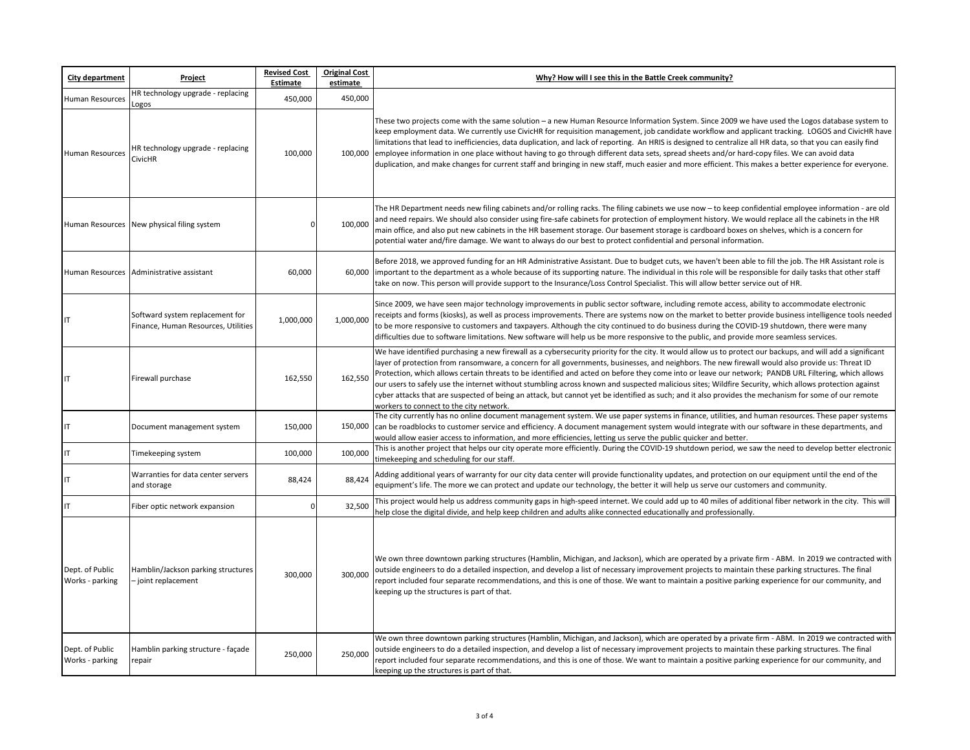| City department                    | Project                                                                | <b>Revised Cost</b><br>Estimate | <b>Original Cost</b><br>estimate | Why? How will I see this in the Battle Creek community?                                                                                                                                                                                                                                                                                                                                                                                                                                                                                                                                                                                                                                                                                                                                                                             |
|------------------------------------|------------------------------------------------------------------------|---------------------------------|----------------------------------|-------------------------------------------------------------------------------------------------------------------------------------------------------------------------------------------------------------------------------------------------------------------------------------------------------------------------------------------------------------------------------------------------------------------------------------------------------------------------------------------------------------------------------------------------------------------------------------------------------------------------------------------------------------------------------------------------------------------------------------------------------------------------------------------------------------------------------------|
| <b>Human Resources</b>             | HR technology upgrade - replacing<br>OgOS.                             | 450,000                         | 450,000                          |                                                                                                                                                                                                                                                                                                                                                                                                                                                                                                                                                                                                                                                                                                                                                                                                                                     |
| <b>Human Resources</b>             | HR technology upgrade - replacing<br><b>CivicHR</b>                    | 100,000                         | 100,000                          | These two projects come with the same solution - a new Human Resource Information System. Since 2009 we have used the Logos database system to<br>keep employment data. We currently use CivicHR for requisition management, job candidate workflow and applicant tracking. LOGOS and CivicHR have<br>limitations that lead to inefficiencies, data duplication, and lack of reporting. An HRIS is designed to centralize all HR data, so that you can easily find<br>employee information in one place without having to go through different data sets, spread sheets and/or hard-copy files. We can avoid data<br>duplication, and make changes for current staff and bringing in new staff, much easier and more efficient. This makes a better experience for everyone.                                                        |
|                                    | Human Resources New physical filing system                             | $\mathbf 0$                     | 100,000                          | The HR Department needs new filing cabinets and/or rolling racks. The filing cabinets we use now - to keep confidential employee information - are old<br>and need repairs. We should also consider using fire-safe cabinets for protection of employment history. We would replace all the cabinets in the HR<br>main office, and also put new cabinets in the HR basement storage. Our basement storage is cardboard boxes on shelves, which is a concern for<br>potential water and/fire damage. We want to always do our best to protect confidential and personal information.                                                                                                                                                                                                                                                 |
| <b>Human Resources</b>             | Administrative assistant                                               | 60,000                          | 60,000                           | Before 2018, we approved funding for an HR Administrative Assistant. Due to budget cuts, we haven't been able to fill the job. The HR Assistant role is<br>important to the department as a whole because of its supporting nature. The individual in this role will be responsible for daily tasks that other staff<br>take on now. This person will provide support to the Insurance/Loss Control Specialist. This will allow better service out of HR.                                                                                                                                                                                                                                                                                                                                                                           |
| IT                                 | Softward system replacement for<br>Finance, Human Resources, Utilities | 1,000,000                       | 1,000,000                        | Since 2009, we have seen major technology improvements in public sector software, including remote access, ability to accommodate electronic<br>receipts and forms (kiosks), as well as process improvements. There are systems now on the market to better provide business intelligence tools needed<br>to be more responsive to customers and taxpayers. Although the city continued to do business during the COVID-19 shutdown, there were many<br>difficulties due to software limitations. New software will help us be more responsive to the public, and provide more seamless services.                                                                                                                                                                                                                                   |
| IT                                 | Firewall purchase                                                      | 162,550                         | 162,550                          | We have identified purchasing a new firewall as a cybersecurity priority for the city. It would allow us to protect our backups, and will add a significant<br>layer of protection from ransomware, a concern for all governments, businesses, and neighbors. The new firewall would also provide us: Threat ID<br>Protection, which allows certain threats to be identified and acted on before they come into or leave our network; PANDB URL Filtering, which allows<br>our users to safely use the internet without stumbling across known and suspected malicious sites; Wildfire Security, which allows protection against<br>cyber attacks that are suspected of being an attack, but cannot yet be identified as such; and it also provides the mechanism for some of our remote<br>workers to connect to the city network. |
| IT                                 | Document management system                                             | 150,000                         | 150,000                          | The city currently has no online document management system. We use paper systems in finance, utilities, and human resources. These paper systems<br>can be roadblocks to customer service and efficiency. A document management system would integrate with our software in these departments, and<br>would allow easier access to information, and more efficiencies, letting us serve the public quicker and better.                                                                                                                                                                                                                                                                                                                                                                                                             |
| IT                                 | Timekeeping system                                                     | 100,000                         | 100,000                          | This is another project that helps our city operate more efficiently. During the COVID-19 shutdown period, we saw the need to develop better electronic<br>timekeeping and scheduling for our staff.                                                                                                                                                                                                                                                                                                                                                                                                                                                                                                                                                                                                                                |
| IT                                 | Warranties for data center servers<br>and storage                      | 88,424                          | 88,424                           | Adding additional years of warranty for our city data center will provide functionality updates, and protection on our equipment until the end of the<br>equipment's life. The more we can protect and update our technology, the better it will help us serve our customers and community.                                                                                                                                                                                                                                                                                                                                                                                                                                                                                                                                         |
| IT                                 | Fiber optic network expansion                                          | $\mathbf 0$                     | 32,500                           | This project would help us address community gaps in high-speed internet. We could add up to 40 miles of additional fiber network in the city. This will<br>help close the digital divide, and help keep children and adults alike connected educationally and professionally.                                                                                                                                                                                                                                                                                                                                                                                                                                                                                                                                                      |
| Dept. of Public<br>Works - parking | Hamblin/Jackson parking structures<br>- joint replacement              | 300,000                         | 300,000                          | We own three downtown parking structures (Hamblin, Michigan, and Jackson), which are operated by a private firm - ABM. In 2019 we contracted with<br>outside engineers to do a detailed inspection, and develop a list of necessary improvement projects to maintain these parking structures. The final<br>report included four separate recommendations, and this is one of those. We want to maintain a positive parking experience for our community, and<br>keeping up the structures is part of that.                                                                                                                                                                                                                                                                                                                         |
| Dept. of Public<br>Works - parking | Hamblin parking structure - façade<br>repair                           | 250,000                         | 250,000                          | We own three downtown parking structures (Hamblin, Michigan, and Jackson), which are operated by a private firm - ABM. In 2019 we contracted with<br>outside engineers to do a detailed inspection, and develop a list of necessary improvement projects to maintain these parking structures. The final<br>eport included four separate recommendations, and this is one of those. We want to maintain a positive parking experience for our community, and<br>keeping up the structures is part of that.                                                                                                                                                                                                                                                                                                                          |